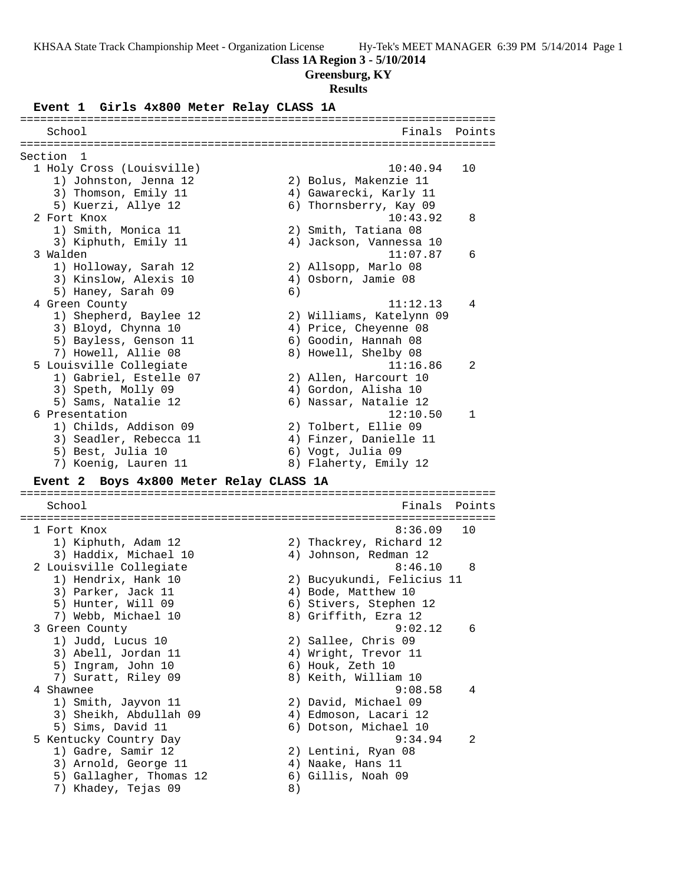### **Class 1A Region 3 - 5/10/2014**

## **Greensburg, KY**

#### **Results**

#### **Event 1 Girls 4x800 Meter Relay CLASS 1A**

======================================================================= School **Finals Points** ======================================================================= Section 1<br>1 Holy Cross (Louisville) 1 Holy Cross (Louisville) 10:40.94 10 1) Johnston, Jenna 12 2) Bolus, Makenzie 11 3) Thomson, Emily 11 4) Gawarecki, Karly 11 5) Kuerzi, Allye 12 6) Thornsberry, Kay 09 2 Fort Knox 10:43.92 8 1) Smith, Monica 11 2) Smith, Tatiana 08 3) Kiphuth, Emily 11 4) Jackson, Vannessa 10 3 Walden 11:07.87 6 1) Holloway, Sarah 12 2) Allsopp, Marlo 08 3) Kinslow, Alexis 10 4) Osborn, Jamie 08 5) Haney, Sarah 09 (6) 4 Green County 11:12.13 4 1) Shepherd, Baylee 12 2) Williams, Katelynn 09 3) Bloyd, Chynna 10 4) Price, Cheyenne 08 5) Bayless, Genson 11 6) Goodin, Hannah 08 7) Howell, Allie 08 8) Howell, Shelby 08 5 Louisville Collegiate 11:16.86 2 1) Gabriel, Estelle 07 2) Allen, Harcourt 10 3) Speth, Molly 09 4) Gordon, Alisha 10 5) Sams, Natalie 12 6) Nassar, Natalie 12 6 Presentation 12:10.50 1 1) Childs, Addison 09 2) Tolbert, Ellie 09 3) Seadler, Rebecca 11 (4) Finzer, Danielle 11 5) Best, Julia 10 (6) Vogt, Julia 09 7) Koenig, Lauren 11 8) Flaherty, Emily 12 **Event 2 Boys 4x800 Meter Relay CLASS 1A** ======================================================================= School Finals Points ======================================================================= 1 Fort Knox 8:36.09 10 1) Kiphuth, Adam 12 2) Thackrey, Richard 12 3) Haddix, Michael 10 4) Johnson, Redman 12 2 Louisville Collegiate 8:46.10 8 1) Hendrix, Hank 10 2) Bucyukundi, Felicius 11 3) Parker, Jack 11 (4) Bode, Matthew 10 5) Hunter, Will 09 6) Stivers, Stephen 12 7) Webb, Michael 10 8) Griffith, Ezra 12 3 Green County 9:02.12 6 1) Judd, Lucus 10 2) Sallee, Chris 09 3) Abell, Jordan 11 (4) Wright, Trevor 11 5) Ingram, John 10 6) Houk, Zeth 10 7) Suratt, Riley 09 8) Keith, William 10 4 Shawnee 9:08.58 4 1) Smith, Jayvon 11 2) David, Michael 09 3) Sheikh, Abdullah 09 4) Edmoson, Lacari 12 5) Sims, David 11 6) Dotson, Michael 10 5 Kentucky Country Day 9:34.94 2 1) Gadre, Samir 12 2) Lentini, Ryan 08 3) Arnold, George 11 (4) Naake, Hans 11 5) Gallagher, Thomas 12 (6) Gillis, Noah 09 7) Khadey, Tejas 09  $\qquad \qquad 8)$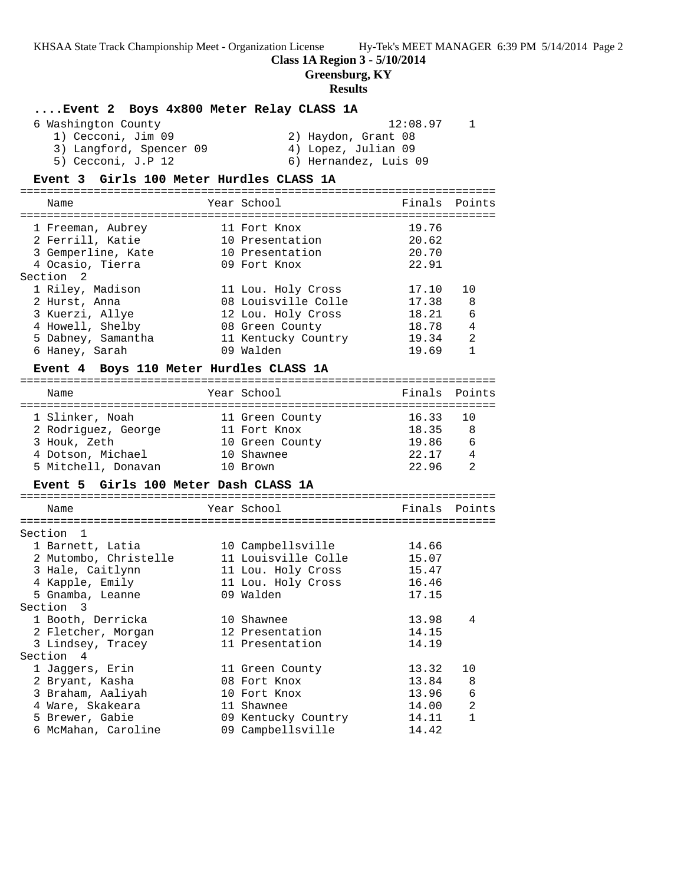**Class 1A Region 3 - 5/10/2014**

**Greensburg, KY**

## **Results**

| Event 2 Boys 4x800 Meter Relay CLASS 1A  |                       |          |               |
|------------------------------------------|-----------------------|----------|---------------|
| 6 Washington County                      |                       | 12:08.97 | $\mathbf{1}$  |
| 1) Cecconi, Jim 09                       | 2) Haydon, Grant 08   |          |               |
| 3) Langford, Spencer 09                  | 4) Lopez, Julian 09   |          |               |
| 5) Cecconi, J.P 12                       | 6) Hernandez, Luis 09 |          |               |
| Event 3 Girls 100 Meter Hurdles CLASS 1A |                       |          |               |
|                                          |                       |          |               |
| Name                                     | Year School           |          | Finals Points |
|                                          |                       |          |               |
| 1 Freeman, Aubrey                        | 11 Fort Knox          | 19.76    |               |
| 2 Ferrill, Katie                         | 10 Presentation       | 20.62    |               |
| 3 Gemperline, Kate                       | 10 Presentation       | 20.70    |               |
| 4 Ocasio, Tierra                         | 09 Fort Knox          | 22.91    |               |
| Section 2                                |                       |          |               |
| 1 Riley, Madison                         | 11 Lou. Holy Cross    | 17.10    | 10            |
| 2 Hurst, Anna                            | 08 Louisville Colle   | 17.38    | 8             |
| 3 Kuerzi, Allye                          | 12 Lou. Holy Cross    | 18.21    | 6             |
| 4 Howell, Shelby                         | 08 Green County       | 18.78    | 4             |
| 5 Dabney, Samantha                       | 11 Kentucky Country   | 19.34    | 2             |
| 6 Haney, Sarah                           | 09 Walden             | 19.69    | $\mathbf{1}$  |
|                                          |                       |          |               |
| Event 4 Boys 110 Meter Hurdles CLASS 1A  |                       |          |               |
| Name                                     | Year School           | Finals   | Points        |
| 1 Slinker, Noah                          | 11 Green County       | 16.33    | 10            |
| 2 Rodriguez, George                      | 11 Fort Knox          | 18.35    | 8             |
| 3 Houk, Zeth                             | 10 Green County       | 19.86    | 6             |
| 4 Dotson, Michael                        | 10 Shawnee            | 22.17    | 4             |
| 5 Mitchell, Donavan                      | 10 Brown              | 22.96    | 2             |
|                                          |                       |          |               |
| Event 5 Girls 100 Meter Dash CLASS 1A    |                       |          |               |
| Name                                     | Year School           | Finals   | Points        |
|                                          |                       |          |               |
| Section 1                                |                       |          |               |
| 1 Barnett, Latia                         | 10 Campbellsville     | 14.66    |               |
| 2 Mutombo, Christelle                    | 11 Louisville Colle   | 15.07    |               |
| 3 Hale, Caitlynn                         | 11 Lou. Holy Cross    | 15.47    |               |
| 4 Kapple, Emily                          | 11 Lou. Holy Cross    | 16.46    |               |
| 5 Gnamba, Leanne                         | 09 Walden             | 17.15    |               |
| Section 3                                |                       |          |               |
| 1 Booth, Derricka                        | 10 Shawnee            | 13.98    | 4             |
| 2 Fletcher, Morgan                       | 12 Presentation       | 14.15    |               |
| 3 Lindsey, Tracey                        | 11 Presentation       | 14.19    |               |
| Section 4                                |                       |          |               |
| 1 Jaggers, Erin                          | 11 Green County       | 13.32    | 10            |
| 2 Bryant, Kasha                          | 08 Fort Knox          | 13.84    | 8             |
| 3 Braham, Aaliyah                        | 10 Fort Knox          | 13.96    | 6             |
| 4 Ware, Skakeara                         | 11 Shawnee            | 14.00    | 2             |
| 5 Brewer, Gabie                          | 09 Kentucky Country   | 14.11    | 1             |
| 6 McMahan, Caroline                      | 09 Campbellsville     | 14.42    |               |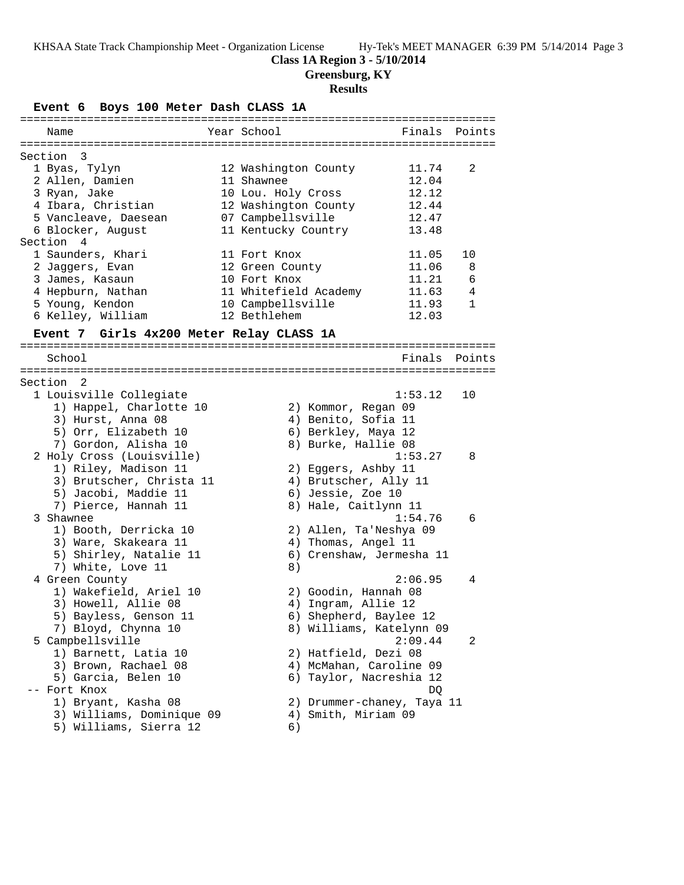### **Class 1A Region 3 - 5/10/2014**

**Greensburg, KY**

### **Results**

**Event 6 Boys 100 Meter Dash CLASS 1A**

| Name                 | Year School           | Finals Points |              |
|----------------------|-----------------------|---------------|--------------|
|                      |                       |               |              |
| Section 3            |                       |               |              |
| 1 Byas, Tylyn        | 12 Washington County  | 11.74         | 2            |
| 2 Allen, Damien      | 11 Shawnee            | 12.04         |              |
| 3 Ryan, Jake         | 10 Lou. Holy Cross    | 12.12         |              |
| 4 Ibara, Christian   | 12 Washington County  | 12.44         |              |
| 5 Vancleave, Daesean | 07 Campbellsville     | 12.47         |              |
| 6 Blocker, August    | 11 Kentucky Country   | 13.48         |              |
| Section 4            |                       |               |              |
| 1 Saunders, Khari    | 11 Fort Knox          | 11.05         | 10           |
| 2 Jaqqers, Evan      | 12 Green County       | 11.06         | 8            |
| 3 James, Kasaun      | 10 Fort Knox          | 11.21         | 6            |
| 4 Hepburn, Nathan    | 11 Whitefield Academy | 11.63         | 4            |
| 5 Young, Kendon      | 10 Campbellsville     | 11.93         | $\mathbf{1}$ |
| 6 Kelley, William    | 12 Bethlehem          | 12.03         |              |
|                      |                       |               |              |

#### **Event 7 Girls 4x200 Meter Relay CLASS 1A**

======================================================================= School **Finals** Points ======================================================================= Section 2 1 Louisville Collegiate 1:53.12 10 1) Happel, Charlotte 10 2) Kommor, Regan 09 3) Hurst, Anna 08 (4) Benito, Sofia 11 5) Orr, Elizabeth 10 (6) Berkley, Maya 12 7) Gordon, Alisha 10 8) Burke, Hallie 08 2 Holy Cross (Louisville) 1:53.27 8 1) Riley, Madison 11 2) Eggers, Ashby 11 3) Brutscher, Christa 11 4) Brutscher, Ally 11 5) Jacobi, Maddie 11 (6) Jessie, Zoe 10 7) Pierce, Hannah 11  $\qquad \qquad 8)$  Hale, Caitlynn 11 3 Shawnee 1:54.76 6 1) Booth, Derricka 10 2) Allen, Ta'Neshya 09 3) Ware, Skakeara 11 (4) Thomas, Angel 11 5) Shirley, Natalie 11 6) Crenshaw, Jermesha 11 7) White, Love 11 8) 4 Green County 2:06.95 4 1) Wakefield, Ariel 10 2) Goodin, Hannah 08 3) Howell, Allie 08 4) Ingram, Allie 12 5) Bayless, Genson 11 6) Shepherd, Baylee 12 7) Bloyd, Chynna 10 8) Williams, Katelynn 09 5 Campbellsville 2:09.44 2 1) Barnett, Latia 10 2) Hatfield, Dezi 08 3) Brown, Rachael 08 4) McMahan, Caroline 09 5) Garcia, Belen 10 6) Taylor, Nacreshia 12 -- Fort Knox DQ 1) Bryant, Kasha 08 2) Drummer-chaney, Taya 11 3) Williams, Dominique 09 4) Smith, Miriam 09 5) Williams, Sierra 12 (6)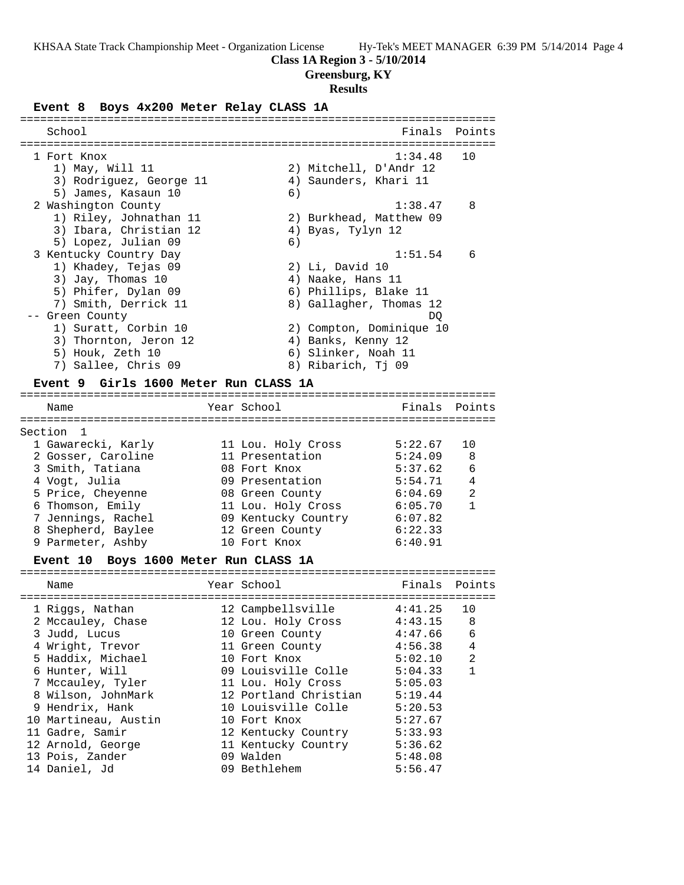# **Class 1A Region 3 - 5/10/2014**

# **Greensburg, KY**

# **Results**

# **Event 8 Boys 4x200 Meter Relay CLASS 1A**

| School                  |    | Finals Points            |     |
|-------------------------|----|--------------------------|-----|
| 1 Fort Knox             |    | 1:34.48                  | 1 O |
| 1) May, Will 11         |    | 2) Mitchell, D'Andr 12   |     |
| 3) Rodriguez, George 11 |    | 4) Saunders, Khari 11    |     |
| 5) James, Kasaun 10     | 6) |                          |     |
| 2 Washington County     |    | 1:38.47                  | 8   |
| 1) Riley, Johnathan 11  |    | 2) Burkhead, Matthew 09  |     |
| 3) Ibara, Christian 12  |    | 4) Byas, Tylyn 12        |     |
| 5) Lopez, Julian 09     | 6) |                          |     |
| 3 Kentucky Country Day  |    | 1:51.54                  | 6   |
| 1) Khadey, Tejas 09     |    | $2)$ Li, David 10        |     |
| 3) Jay, Thomas 10       |    | 4) Naake, Hans 11        |     |
| 5) Phifer, Dylan 09     |    | 6) Phillips, Blake 11    |     |
| 7) Smith, Derrick 11    |    | 8) Gallagher, Thomas 12  |     |
| -- Green County         |    | DO                       |     |
| 1) Suratt, Corbin 10    |    | 2) Compton, Dominique 10 |     |
| 3) Thornton, Jeron 12   |    | 4) Banks, Kenny 12       |     |
| 5) Houk, Zeth 10        |    | 6) Slinker, Noah 11      |     |
| 7) Sallee, Chris 09     |    | 8) Ribarich, Tj 09       |     |
|                         |    |                          |     |

### **Event 9 Girls 1600 Meter Run CLASS 1A**

| Name               | Year School         | Finals  | Points         |
|--------------------|---------------------|---------|----------------|
| Section 1          |                     |         |                |
| 1 Gawarecki, Karly | 11 Lou. Holy Cross  | 5:22.67 | 10             |
| 2 Gosser, Caroline | 11 Presentation     | 5:24.09 | 8              |
| 3 Smith, Tatiana   | 08 Fort Knox        | 5:37.62 | 6              |
| 4 Vogt, Julia      | 09 Presentation     | 5:54.71 | $\overline{4}$ |
| 5 Price, Cheyenne  | 08 Green County     | 6:04.69 | $\mathfrak{D}$ |
| 6 Thomson, Emily   | 11 Lou. Holy Cross  | 6:05.70 | 1              |
| 7 Jennings, Rachel | 09 Kentucky Country | 6:07.82 |                |
| 8 Shepherd, Baylee | 12 Green County     | 6:22.33 |                |
| 9 Parmeter, Ashby  | 10 Fort Knox        | 6:40.91 |                |
|                    |                     |         |                |

# **Event 10 Boys 1600 Meter Run CLASS 1A**

| Name                 | Year School           | Finals Points |                |
|----------------------|-----------------------|---------------|----------------|
| 1 Riggs, Nathan      | 12 Campbellsville     | 4:41.25       | 10             |
| 2 Mccauley, Chase    | 12 Lou. Holy Cross    | 4:43.15       | -8             |
| 3 Judd, Lucus        | 10 Green County       | 4:47.66       | 6              |
| 4 Wright, Trevor     | 11 Green County       | 4:56.38       | 4              |
| 5 Haddix, Michael    | 10 Fort Knox          | 5:02.10       | $\mathfrak{D}$ |
| 6 Hunter, Will       | 09 Louisville Colle   | 5:04.33       | 1              |
| 7 Mccauley, Tyler    | 11 Lou. Holy Cross    | 5:05.03       |                |
| 8 Wilson, JohnMark   | 12 Portland Christian | 5:19.44       |                |
| 9 Hendrix, Hank      | 10 Louisville Colle   | 5:20.53       |                |
| 10 Martineau, Austin | 10 Fort Knox          | 5:27.67       |                |
| 11 Gadre, Samir      | 12 Kentucky Country   | 5:33.93       |                |
| 12 Arnold, George    | 11 Kentucky Country   | 5:36.62       |                |
| 13 Pois, Zander      | 09 Walden             | 5:48.08       |                |
| 14 Daniel, Jd        | 09 Bethlehem          | 5:56.47       |                |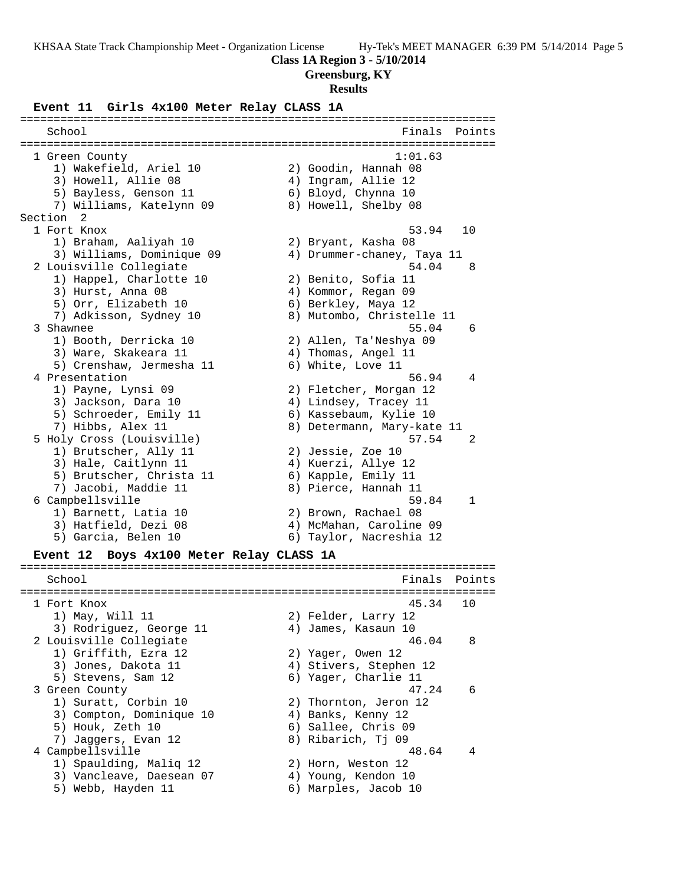### **Class 1A Region 3 - 5/10/2014**

**Greensburg, KY**

#### **Results**

#### **Event 11 Girls 4x100 Meter Relay CLASS 1A**

======================================================================= School **Finals Points** ======================================================================= 1 Green County 1:01.63 1) Wakefield, Ariel 10 2) Goodin, Hannah 08 3) Howell, Allie 08 4) Ingram, Allie 12 5) Bayless, Genson 11 (6) Bloyd, Chynna 10 7) Williams, Katelynn 09 8) Howell, Shelby 08 Section 2<br>1 Fort Knox 1 Fort Knox 53.94 10 1) Braham, Aaliyah 10 2) Bryant, Kasha 08 3) Williams, Dominique 09 4) Drummer-chaney, Taya 11 2 Louisville Collegiate 54.04 8 1) Happel, Charlotte 10 2) Benito, Sofia 11 3) Hurst, Anna 08 (4) Kommor, Regan 09 5) Orr, Elizabeth 10 (6) Berkley, Maya 12 7) Adkisson, Sydney 10 8) Mutombo, Christelle 11 3 Shawnee 55.04 6 1) Booth, Derricka 10 2) Allen, Ta'Neshya 09 3) Ware, Skakeara 11 4) Thomas, Angel 11 5) Crenshaw, Jermesha 11 6) White, Love 11 4 Presentation 56.94 4 1) Payne, Lynsi 09 2) Fletcher, Morgan 12 3) Jackson, Dara 10 4) Lindsey, Tracey 11 5) Schroeder, Emily 11 6) Kassebaum, Kylie 10 7) Hibbs, Alex 11 8) Determann, Mary-kate 11 5 Holy Cross (Louisville) 57.54 2 1) Brutscher, Ally 11 2) Jessie, Zoe 10 3) Hale, Caitlynn 11 4) Kuerzi, Allye 12 5) Brutscher, Christa 11 (6) Kapple, Emily 11 7) Jacobi, Maddie 11  $\qquad \qquad 8)$  Pierce, Hannah 11 6 Campbellsville 59.84 1 1) Barnett, Latia 10 2) Brown, Rachael 08 3) Hatfield, Dezi 08 4) McMahan, Caroline 09 5) Garcia, Belen 10 6) Taylor, Nacreshia 12 **Event 12 Boys 4x100 Meter Relay CLASS 1A** ======================================================================= School **Finals Points** ======================================================================= 1 Fort Knox 45.34 10 1) May, Will 11 2) Felder, Larry 12 3) Rodriguez, George 11 (a) 4) James, Kasaun 10 2 Louisville Collegiate 46.04 8 1) Griffith, Ezra 12 2) Yager, Owen 12 3) Jones, Dakota 11 4) Stivers, Stephen 12 5) Stevens, Sam 12 6) Yager, Charlie 11 3 Green County 47.24 6 1) Suratt, Corbin 10 2) Thornton, Jeron 12 3) Compton, Dominique 10 (4) Banks, Kenny 12 5) Houk, Zeth 10 6) Sallee, Chris 09 7) Jaggers, Evan 12 8) Ribarich, Tj 09 4 Campbellsville 48.64 4 1) Spaulding, Maliq 12 2) Horn, Weston 12 3) Vancleave, Daesean 07 4) Young, Kendon 10 5) Webb, Hayden 11 6) Marples, Jacob 10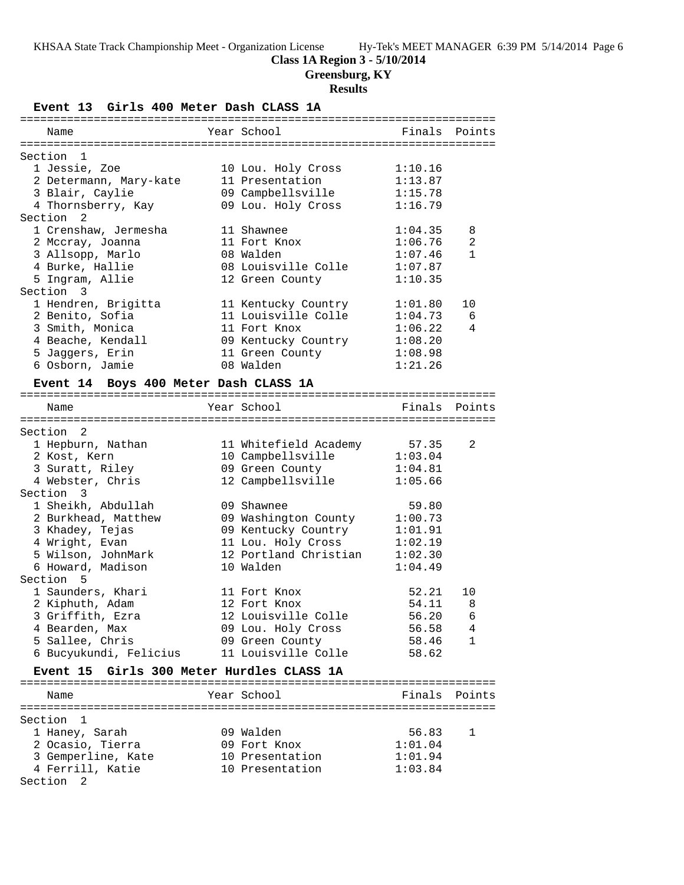# **Class 1A Region 3 - 5/10/2014**

**Greensburg, KY**

# **Results**

**Event 13 Girls 400 Meter Dash CLASS 1A**

| Name                   | Year School         | Finals Points |              |
|------------------------|---------------------|---------------|--------------|
|                        |                     |               |              |
| Section 1              |                     |               |              |
| 1 Jessie, Zoe          | 10 Lou. Holy Cross  | 1:10.16       |              |
| 2 Determann, Mary-kate | 11 Presentation     | 1:13.87       |              |
| 3 Blair, Caylie        | 09 Campbellsville   | 1:15.78       |              |
| 4 Thornsberry, Kay     | 09 Lou. Holy Cross  | 1:16.79       |              |
| Section 2              |                     |               |              |
| 1 Crenshaw, Jermesha   | 11 Shawnee          | 1:04.35       | 8            |
| 2 Mccray, Joanna       | 11 Fort Knox        | 1:06.76       | 2            |
| 3 Allsopp, Marlo       | 08 Walden           | 1:07.46       | $\mathbf{1}$ |
| 4 Burke, Hallie        | 08 Louisville Colle | 1:07.87       |              |
| 5 Ingram, Allie        | 12 Green County     | 1:10.35       |              |
| Section 3              |                     |               |              |
| 1 Hendren, Brigitta    | 11 Kentucky Country | 1:01.80       | 10           |
| 2 Benito, Sofia        | 11 Louisville Colle | 1:04.73       | 6            |
| 3 Smith, Monica        | 11 Fort Knox        | 1:06.22       | 4            |
| 4 Beache, Kendall      | 09 Kentucky Country | 1:08.20       |              |
| 5 Jaqqers, Erin        | 11 Green County     | 1:08.98       |              |
| 6 Osborn, Jamie        | 08 Walden           | 1:21.26       |              |
|                        |                     |               |              |

# **Event 14 Boys 400 Meter Dash CLASS 1A**

| Name                      |                            | Year School States School     | Finals Points |                |
|---------------------------|----------------------------|-------------------------------|---------------|----------------|
|                           | ========================== | ------------------            |               |                |
| Section<br>$\overline{2}$ |                            |                               |               |                |
|                           | 1 Hepburn, Nathan          | 11 Whitefield Academy 57.35   |               | $\mathfrak{D}$ |
| 2 Kost, Kern              |                            | 10 Campbellsville 1:03.04     |               |                |
|                           | 3 Suratt, Riley            | 09 Green County               | 1:04.81       |                |
|                           | 4 Webster, Chris           | 12 Campbellsville             | 1:05.66       |                |
| Section 3                 |                            |                               |               |                |
|                           | 1 Sheikh, Abdullah         | 09 Shawnee                    | 59.80         |                |
|                           | 2 Burkhead, Matthew        | 09 Washington County 1:00.73  |               |                |
|                           | 3 Khadey, Tejas            | 09 Kentucky Country 1:01.91   |               |                |
|                           | 4 Wright, Evan             | 11 Lou. Holy Cross 1:02.19    |               |                |
|                           | 5 Wilson, JohnMark         | 12 Portland Christian 1:02.30 |               |                |
|                           | 6 Howard, Madison          | 10 Walden                     | 1:04.49       |                |
| Section <sub>5</sub>      |                            |                               |               |                |
|                           | 1 Saunders, Khari          | 11 Fort Knox                  | 52.21         | 10             |
|                           | 2 Kiphuth, Adam            | 12 Fort Knox                  | 54.11         | 8              |
|                           | 3 Griffith, Ezra           | 12 Louisville Colle           | 56.20         | 6              |
| 4 Bearden, Max            |                            | 09 Lou. Holy Cross            | 56.58         | $\overline{4}$ |
|                           | 5 Sallee, Chris            | 09 Green County               | 58.46         | $\mathbf{1}$   |
|                           | 6 Bucyukundi, Felicius     | 11 Louisville Colle           | 58.62         |                |

## **Event 15 Girls 300 Meter Hurdles CLASS 1A**

| Name               |  | Year School     | Finals Points |  |  |  |
|--------------------|--|-----------------|---------------|--|--|--|
|                    |  |                 |               |  |  |  |
| Section 1          |  |                 |               |  |  |  |
| 1 Haney, Sarah     |  | 09 Walden       | 56.83         |  |  |  |
| 2 Ocasio, Tierra   |  | 09 Fort Knox    | 1:01.04       |  |  |  |
| 3 Gemperline, Kate |  | 10 Presentation | 1:01.94       |  |  |  |
| 4 Ferrill, Katie   |  | 10 Presentation | 1:03.84       |  |  |  |
| Section 2          |  |                 |               |  |  |  |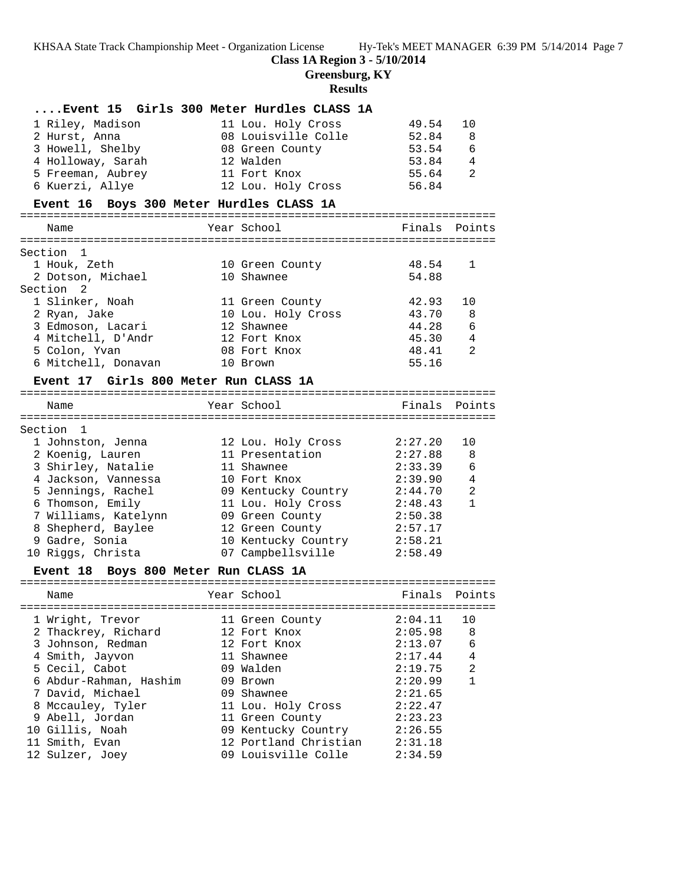### **Class 1A Region 3 - 5/10/2014**

**Greensburg, KY**

### **Results**

| Event 15 Girls 300 Meter Hurdles CLASS 1A      |                                       |                            |                |
|------------------------------------------------|---------------------------------------|----------------------------|----------------|
| 1 Riley, Madison                               | 11 Lou. Holy Cross                    | 49.54                      | 10             |
| 2 Hurst, Anna                                  | 08 Louisville Colle                   | 52.84                      | -8             |
| 3 Howell, Shelby                               | 08 Green County                       | 53.54                      | - 6            |
| 4 Holloway, Sarah                              | 12 Walden                             | 53.84                      | 4              |
| 5 Freeman, Aubrey                              | 11 Fort Knox                          | 55.64                      | 2              |
| 6 Kuerzi, Allye                                | 12 Lou. Holy Cross                    | 56.84                      |                |
| Event 16 Boys 300 Meter Hurdles CLASS 1A       |                                       |                            |                |
| Name                                           | Year School                           | Finals Points              |                |
|                                                |                                       |                            |                |
| Section 1                                      |                                       |                            |                |
| 1 Houk, Zeth                                   | 10 Green County                       | 48.54                      | 1              |
| 2 Dotson, Michael                              | 10 Shawnee                            | 54.88                      |                |
| Section 2                                      |                                       |                            |                |
| 1 Slinker, Noah                                | 11 Green County                       | 42.93                      | 10             |
| 2 Ryan, Jake                                   | 10 Lou. Holy Cross                    | 43.70                      | 8              |
| 3 Edmoson, Lacari                              | 12 Shawnee                            | 44.28                      | 6              |
| 4 Mitchell, D'Andr                             | 12 Fort Knox                          | 45.30                      | 4              |
| 5 Colon, Yvan                                  | 08 Fort Knox                          | 48.41                      | 2              |
| 6 Mitchell, Donavan                            | 10 Brown                              | 55.16                      |                |
| Event 17 Girls 800 Meter Run CLASS 1A          |                                       |                            |                |
| Name                                           | Year School                           | Finals                     | Points         |
|                                                |                                       |                            |                |
| Section 1                                      |                                       |                            |                |
| 1 Johnston, Jenna                              | 12 Lou. Holy Cross<br>11 Presentation | 2:27.20<br>2:27.88         | 10<br>8        |
| 2 Koenig, Lauren<br>3 Shirley, Natalie         | 11 Shawnee                            | 2:33.39                    | 6              |
| 4 Jackson, Vannessa                            | 10 Fort Knox                          | 2:39.90                    | 4              |
| 5 Jennings, Rachel                             | 09 Kentucky Country                   | 2:44.70                    | 2              |
| 6 Thomson, Emily                               | 11 Lou. Holy Cross                    | 2:48.43                    | $\mathbf{1}$   |
| 7 Williams, Katelynn                           | 09 Green County                       | 2:50.38                    |                |
| 8 Shepherd, Baylee                             | 12 Green County                       | 2:57.17                    |                |
| 9 Gadre, Sonia                                 | 10 Kentucky Country                   | 2:58.21                    |                |
| 10 Riggs, Christa                              | 07 Campbellsville                     | 2:58.49                    |                |
| Boys 800 Meter Run CLASS 1A<br><b>Event 18</b> |                                       |                            |                |
|                                                |                                       | :========================= |                |
| Name                                           | Year School                           | Finals                     | Points         |
| 1 Wright, Trevor                               | 11 Green County                       | 2:04.11                    | 10             |
| 2 Thackrey, Richard                            | 12 Fort Knox                          | 2:05.98                    | 8              |
| 3 Johnson, Redman                              | 12 Fort Knox                          | 2:13.07                    | 6              |
| 4 Smith, Jayvon                                | 11 Shawnee                            | 2:17.44                    | $\overline{4}$ |
| 5 Cecil, Cabot                                 | 09 Walden                             | 2:19.75                    | $\overline{a}$ |
| 6 Abdur-Rahman, Hashim                         | 09 Brown                              | 2:20.99                    | $\mathbf{1}$   |
| 7 David, Michael                               | 09 Shawnee                            | 2:21.65                    |                |
| 8 Mccauley, Tyler                              | 11 Lou. Holy Cross                    | 2:22.47                    |                |
| 9 Abell, Jordan                                | 11 Green County                       | 2:23.23                    |                |
| 10 Gillis, Noah                                | 09 Kentucky Country                   | 2:26.55                    |                |
| 11 Smith, Evan                                 | 12 Portland Christian                 | 2:31.18                    |                |
| 12 Sulzer, Joey                                | 09 Louisville Colle                   | 2:34.59                    |                |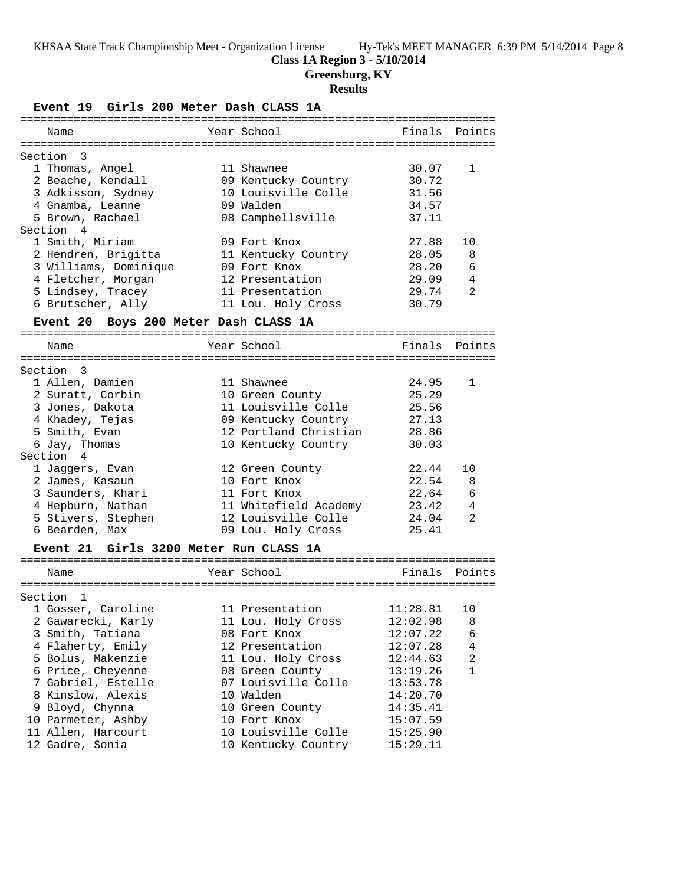### **Class 1A Region 3 - 5/10/2014**

**Greensburg, KY**

# **Results**

| Girls 200 Meter Dash CLASS 1A<br><b>Event 19</b> |                       |                      |              |
|--------------------------------------------------|-----------------------|----------------------|--------------|
| Name                                             | Year School           | Finals Points        |              |
| Section 3                                        |                       |                      |              |
| 1 Thomas, Angel                                  | 11 Shawnee            | 30.07                | 1            |
| 2 Beache, Kendall                                | 09 Kentucky Country   | 30.72                |              |
| 3 Adkisson, Sydney                               | 10 Louisville Colle   | 31.56                |              |
| 4 Gnamba, Leanne                                 | 09 Walden             | 34.57                |              |
| 5 Brown, Rachael                                 | 08 Campbellsville     | 37.11                |              |
| Section 4                                        |                       |                      |              |
| 1 Smith, Miriam                                  | 09 Fort Knox          | 27.88                | 10           |
| 2 Hendren, Brigitta                              | 11 Kentucky Country   | 28.05                | 8            |
| 3 Williams, Dominique                            | 09 Fort Knox          | 28.20                | 6            |
| 4 Fletcher, Morgan                               | 12 Presentation       | 29.09                | 4            |
| 5 Lindsey, Tracey                                | 11 Presentation       | 29.74                | 2            |
| 6 Brutscher, Ally                                | 11 Lou. Holy Cross    | 30.79                |              |
| Event 20 Boys 200 Meter Dash CLASS 1A            |                       |                      |              |
|                                                  |                       |                      |              |
| Name                                             | Year School           | Finals Points        |              |
| Section 3                                        |                       |                      |              |
| 1 Allen, Damien                                  | 11 Shawnee            | 24.95                | 1            |
| 2 Suratt, Corbin                                 | 10 Green County       | 25.29                |              |
| 3 Jones, Dakota                                  | 11 Louisville Colle   | 25.56                |              |
| 4 Khadey, Tejas                                  | 09 Kentucky Country   | 27.13                |              |
| 5 Smith, Evan                                    | 12 Portland Christian | 28.86                |              |
| 6 Jay, Thomas                                    | 10 Kentucky Country   | 30.03                |              |
| Section 4                                        |                       |                      |              |
| 1 Jaggers, Evan                                  | 12 Green County       | 22.44                | 10           |
| 2 James, Kasaun                                  | 10 Fort Knox          | 22.54                | 8            |
| 3 Saunders, Khari                                | 11 Fort Knox          | 22.64                | 6            |
| 4 Hepburn, Nathan                                | 11 Whitefield Academy | 23.42                | 4            |
| 5 Stivers, Stephen                               | 12 Louisville Colle   | 24.04                | 2            |
| 6 Bearden, Max                                   | 09 Lou. Holy Cross    | 25.41                |              |
| Girls 3200 Meter Run CLASS 1A<br><b>Event 21</b> |                       |                      |              |
|                                                  |                       |                      |              |
| Name                                             | Year School           | Finals               | Points       |
| Section<br>$\mathbf{1}$                          |                       |                      |              |
| 1 Gosser, Caroline                               | 11 Presentation       | 11:28.81             | 10           |
| 2 Gawarecki, Karly                               | 11 Lou. Holy Cross    | 12:02.98             | 8            |
|                                                  | 08 Fort Knox          |                      | 6            |
| 3 Smith, Tatiana                                 |                       | 12:07.22<br>12:07.28 | 4            |
| 4 Flaherty, Emily                                | 12 Presentation       |                      | 2            |
| 5 Bolus, Makenzie                                | 11 Lou. Holy Cross    | 12:44.63             |              |
| 6 Price, Cheyenne                                | 08 Green County       | 13:19.26             | $\mathbf{1}$ |

 7 Gabriel, Estelle 07 Louisville Colle 13:53.78 8 Kinslow, Alexis 10 Walden 14:20.70 9 Bloyd, Chynna 10 Green County 14:35.41 10 Parmeter, Ashby 10 Fort Knox 15:07.59 11 Allen, Harcourt 10 Louisville Colle 15:25.90 12 Gadre, Sonia 10 Kentucky Country 15:29.11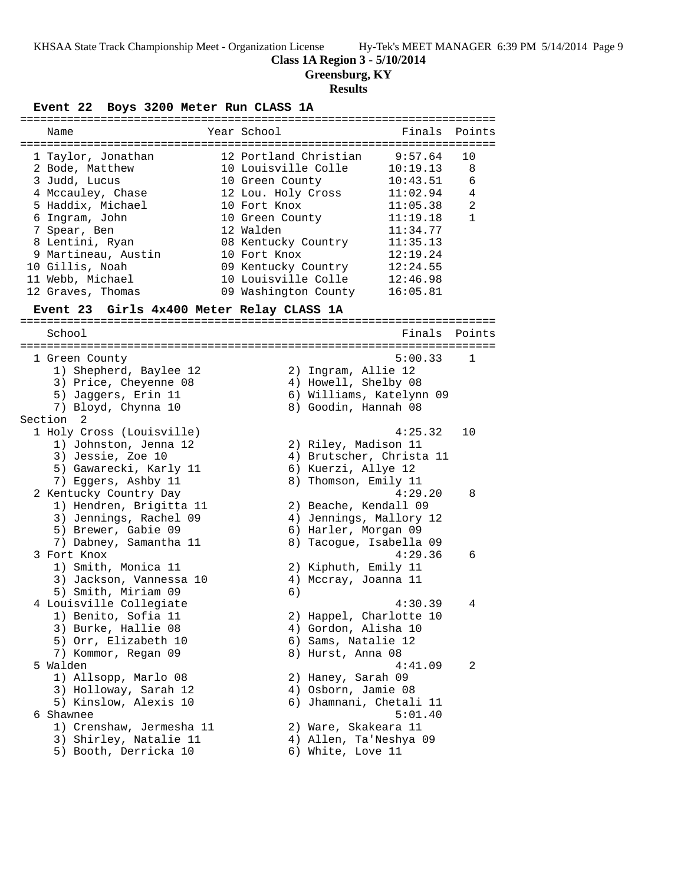# **Class 1A Region 3 - 5/10/2014**

**Greensburg, KY**

# **Results**

**Event 22 Boys 3200 Meter Run CLASS 1A**

| Name                                      | Year School                   | Finals                   | Points         |
|-------------------------------------------|-------------------------------|--------------------------|----------------|
|                                           |                               |                          |                |
| 1 Taylor, Jonathan                        | 12 Portland Christian 9:57.64 |                          | 10             |
| 2 Bode, Matthew                           | 10 Louisville Colle           | 10:19.13                 | 8              |
| 3 Judd, Lucus                             | 10 Green County               | 10:43.51                 | 6              |
| 4 Mccauley, Chase                         | 12 Lou. Holy Cross            | 11:02.94                 | $\overline{4}$ |
| 5 Haddix, Michael                         | 10 Fort Knox                  | 11:05.38                 | $\overline{a}$ |
| 6 Ingram, John                            | 10 Green County               | 11:19.18                 | $\mathbf{1}$   |
| 7 Spear, Ben                              | 12 Walden                     | 11:34.77                 |                |
| 8 Lentini, Ryan                           | 08 Kentucky Country           | 11:35.13                 |                |
| 9 Martineau, Austin                       | 10 Fort Knox                  | 12:19.24                 |                |
| 10 Gillis, Noah                           | 09 Kentucky Country           | 12:24.55                 |                |
| 11 Webb, Michael                          | 10 Louisville Colle           | 12:46.98                 |                |
| 12 Graves, Thomas                         | 09 Washington County          | 16:05.81                 |                |
|                                           |                               |                          |                |
| Event 23 Girls 4x400 Meter Relay CLASS 1A |                               |                          |                |
|                                           |                               |                          |                |
| School                                    |                               | Finals Points            |                |
|                                           |                               |                          |                |
| 1 Green County                            |                               | 5:00.33                  | $\overline{1}$ |
| 1) Shepherd, Baylee 12                    |                               | 2) Ingram, Allie 12      |                |
| 3) Price, Cheyenne 08                     |                               | 4) Howell, Shelby 08     |                |
| 5) Jaggers, Erin 11                       |                               | 6) Williams, Katelynn 09 |                |
| 7) Bloyd, Chynna 10                       |                               | 8) Goodin, Hannah 08     |                |
| Section <sub>2</sub>                      |                               |                          |                |
| 1 Holy Cross (Louisville)                 |                               | 4:25.32                  | 10             |
| 1) Johnston, Jenna 12                     |                               | 2) Riley, Madison 11     |                |
| 3) Jessie, Zoe 10                         |                               | 4) Brutscher, Christa 11 |                |
| 5) Gawarecki, Karly 11                    |                               | 6) Kuerzi, Allye 12      |                |
| 7) Eggers, Ashby 11                       |                               | 8) Thomson, Emily 11     |                |
| 2 Kentucky Country Day                    |                               | 4:29.20                  | 8              |
| 1) Hendren, Brigitta 11                   |                               | 2) Beache, Kendall 09    |                |
| 3) Jennings, Rachel 09                    |                               | 4) Jennings, Mallory 12  |                |
| 5) Brewer, Gabie 09                       |                               | 6) Harler, Morgan 09     |                |
| 7) Dabney, Samantha 11                    |                               | 8) Tacogue, Isabella 09  |                |
| 3 Fort Knox                               |                               | 4:29.36                  | 6              |
| 1) Smith, Monica 11                       |                               | 2) Kiphuth, Emily 11     |                |
| 3) Jackson, Vannessa 10                   |                               | 4) Mccray, Joanna 11     |                |
| 5) Smith, Miriam 09                       | 6)                            |                          |                |
| 4 Louisville Collegiate                   |                               | 4:30.39                  | 4              |
| 1) Benito, Sofia 11                       |                               | 2) Happel, Charlotte 10  |                |
| 3) Burke, Hallie 08                       |                               | 4) Gordon, Alisha 10     |                |
| 5) Orr, Elizabeth 10                      |                               | 6) Sams, Natalie 12      |                |
| 7) Kommor, Regan 09                       | 8) Hurst, Anna 08             |                          |                |
| 5 Walden                                  |                               | 4:41.09                  | 2              |
| 1) Allsopp, Marlo 08                      |                               | 2) Haney, Sarah 09       |                |
| 3) Holloway, Sarah 12                     |                               | 4) Osborn, Jamie 08      |                |
| 5) Kinslow, Alexis 10                     |                               | 6) Jhamnani, Chetali 11  |                |
| 6 Shawnee                                 |                               | 5:01.40                  |                |
| 1) Crenshaw, Jermesha 11                  |                               | 2) Ware, Skakeara 11     |                |
| 3) Shirley, Natalie 11                    |                               | 4) Allen, Ta'Neshya 09   |                |
| 5) Booth, Derricka 10                     | 6) White, Love 11             |                          |                |
|                                           |                               |                          |                |